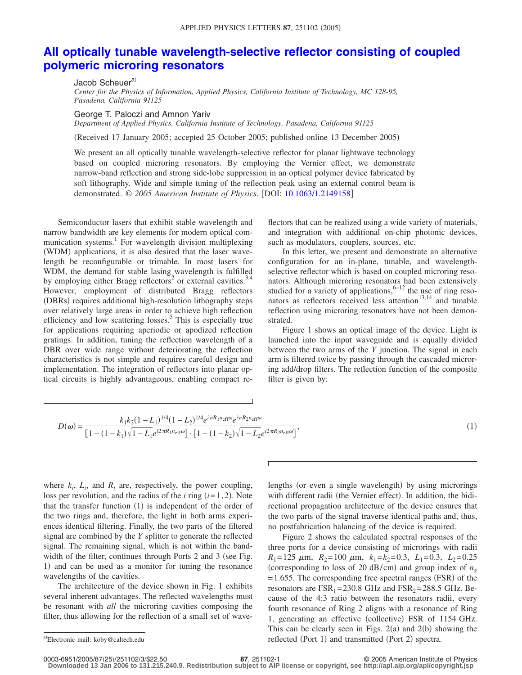## **[All optically tunable wavelength-selective reflector consisting of coupled](http://dx.doi.org/10.1063/1.2149158) [polymeric microring resonators](http://dx.doi.org/10.1063/1.2149158)**

Jacob Scheuer<sup>a)</sup> *Center for the Physics of Information, Applied Physics, California Institute of Technology, MC 128-95, Pasadena, California 91125*

George T. Paloczi and Amnon Yariv

*Department of Applied Physics, California Institute of Technology, Pasadena, California 91125*

(Received 17 January 2005; accepted 25 October 2005; published online 13 December 2005)

We present an all optically tunable wavelength-selective reflector for planar lightwave technology based on coupled microring resonators. By employing the Vernier effect, we demonstrate narrow-band reflection and strong side-lobe suppression in an optical polymer device fabricated by soft lithography. Wide and simple tuning of the reflection peak using an external control beam is demonstrated. © 2005 American Institute of Physics. [DOI: [10.1063/1.2149158](http://dx.doi.org/10.1063/1.2149158)]

Semiconductor lasers that exhibit stable wavelength and narrow bandwidth are key elements for modern optical communication systems.<sup>1</sup> For wavelength division multiplexing (WDM) applications, it is also desired that the laser wavelength be reconfigurable or trimable. In most lasers for WDM, the demand for stable lasing wavelength is fulfilled by employing either Bragg reflectors<sup>2</sup> or external cavities.<sup>3,4</sup> However, employment of distributed Bragg reflectors (DBRs) requires additional high-resolution lithography steps over relatively large areas in order to achieve high reflection efficiency and low scattering losses.<sup>5</sup> This is especially true for applications requiring aperiodic or apodized reflection gratings. In addition, tuning the reflection wavelength of a DBR over wide range without deteriorating the reflection characteristics is not simple and requires careful design and implementation. The integration of reflectors into planar optical circuits is highly advantageous, enabling compact reflectors that can be realized using a wide variety of materials, and integration with additional on-chip photonic devices, such as modulators, couplers, sources, etc.

In this letter, we present and demonstrate an alternative configuration for an in-plane, tunable, and wavelengthselective reflector which is based on coupled microring resonators. Although microring resonators had been extensively studied for a variety of applications,  $6-12$  the use of ring resonators as reflectors received less attention<sup>13,14</sup> and tunable reflection using microring resonators have not been demonstrated.

Figure 1 shows an optical image of the device. Light is launched into the input waveguide and is equally divided between the two arms of the *Y* junction. The signal in each arm is filtered twice by passing through the cascaded microring add/drop filters. The reflection function of the composite filter is given by:

$$
D(\omega) = \frac{k_1 k_2 (1 - L_1)^{1/4} (1 - L_2)^{1/4} e^{i \pi R_1 n_{\text{eff}} \omega} e^{i \pi R_2 n_{\text{eff}} \omega}}{[1 - (1 - k_1)\sqrt{1 - L_1} e^{i 2 \pi R_1 n_{\text{eff}} \omega}] \cdot [1 - (1 - k_2)\sqrt{1 - L_2} e^{i 2 \pi R_2 n_{\text{eff}} \omega}]},
$$
\n(1)

where  $k_i$ ,  $L_i$ , and  $R_i$  are, respectively, the power coupling, loss per revolution, and the radius of the  $i$  ring  $(i=1, 2)$ . Note that the transfer function (1) is independent of the order of the two rings and, therefore, the light in both arms experiences identical filtering. Finally, the two parts of the filtered signal are combined by the *Y* splitter to generate the reflected signal. The remaining signal, which is not within the bandwidth of the filter, continues through Ports  $2$  and  $3$  (see Fig. 1) and can be used as a monitor for tuning the resonance wavelengths of the cavities.

The architecture of the device shown in Fig. 1 exhibits several inherent advantages. The reflected wavelengths must be resonant with *all* the microring cavities composing the filter, thus allowing for the reflection of a small set of wave-

lengths (or even a single wavelength) by using microrings with different radii (the Vernier effect). In addition, the bidirectional propagation architecture of the device ensures that the two parts of the signal traverse identical paths and, thus, no postfabrication balancing of the device is required.

Figure 2 shows the calculated spectral responses of the three ports for a device consisting of microrings with radii  $R_1 = 125 \mu m$ ,  $R_2 = 100 \mu m$ ,  $k_1 = k_2 = 0.3$ ,  $L_1 = 0.3$ ,  $L_2 = 0.25$ (corresponding to loss of 20  $dB/cm$ ) and group index of  $n<sub>g</sub>$  $= 1.655$ . The corresponding free spectral ranges (FSR) of the resonators are  $FSR_1 = 230.8$  GHz and  $FSR_2 = 288.5$  GHz. Because of the 4:3 ratio between the resonators radii, every fourth resonance of Ring 2 aligns with a resonance of Ring 1, generating an effective (collective) FSR of 1154 GHz. This can be clearly seen in Figs.  $2(a)$  and  $2(b)$  showing the a)Electronic mail: koby@caltech.edu reflected (Port 1) and transmitted (Port 2) spectra.

**Downloaded 13 Jan 2006 to 131.215.240.9. Redistribution subject to AIP license or copyright, see http://apl.aip.org/apl/copyright.jsp**

Electronic mail: koby@caltech.edu

**<sup>87</sup>**, 251102-1 © 2005 American Institute of Physics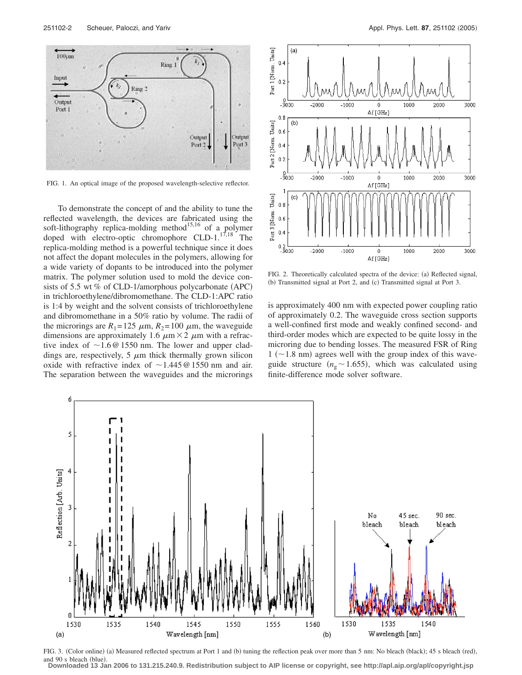

FIG. 1. An optical image of the proposed wavelength-selective reflector.

To demonstrate the concept of and the ability to tune the reflected wavelength, the devices are fabricated using the soft-lithography replica-molding method $15,16$  of a polymer doped with electro-optic chromophore  $CLD-1$ .<sup>17,18</sup> The replica-molding method is a powerful technique since it does not affect the dopant molecules in the polymers, allowing for a wide variety of dopants to be introduced into the polymer matrix. The polymer solution used to mold the device consists of 5.5 wt % of CLD-1/amorphous polycarbonate  $(APC)$ in trichloroethylene/dibromomethane. The CLD-1:APC ratio is 1:4 by weight and the solvent consists of trichloroethylene and dibromomethane in a 50% ratio by volume. The radii of the microrings are  $R_1 = 125 \mu m$ ,  $R_2 = 100 \mu m$ , the waveguide dimensions are approximately 1.6  $\mu$ m × 2  $\mu$ m with a refractive index of  $\sim$  1.6 @ 1550 nm. The lower and upper claddings are, respectively,  $5 \mu m$  thick thermally grown silicon oxide with refractive index of  $\sim$  1.445 @ 1550 nm and air. The separation between the waveguides and the microrings



FIG. 2. Theoretically calculated spectra of the device: (a) Reflected signal, (b) Transmitted signal at Port 2, and (c) Transmitted signal at Port 3.

is approximately 400 nm with expected power coupling ratio of approximately 0.2. The waveguide cross section supports a well-confined first mode and weakly confined second- and third-order modes which are expected to be quite lossy in the microring due to bending losses. The measured FSR of Ring  $1$  ( $\sim$ 1.8 nm) agrees well with the group index of this waveguide structure ( $n_g \sim 1.655$ ), which was calculated using finite-difference mode solver software.